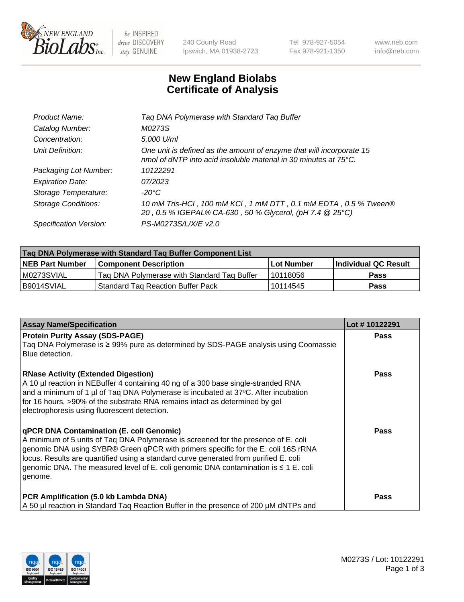

 $be$  INSPIRED drive DISCOVERY stay GENUINE

240 County Road Ipswich, MA 01938-2723 Tel 978-927-5054 Fax 978-921-1350 www.neb.com info@neb.com

## **New England Biolabs Certificate of Analysis**

| Tag DNA Polymerase with Standard Tag Buffer                                                                                              |
|------------------------------------------------------------------------------------------------------------------------------------------|
| M0273S                                                                                                                                   |
| 5,000 U/ml                                                                                                                               |
| One unit is defined as the amount of enzyme that will incorporate 15<br>nmol of dNTP into acid insoluble material in 30 minutes at 75°C. |
| 10122291                                                                                                                                 |
| 07/2023                                                                                                                                  |
| $-20^{\circ}$ C                                                                                                                          |
| 10 mM Tris-HCI, 100 mM KCI, 1 mM DTT, 0.1 mM EDTA, 0.5 % Tween®<br>20, 0.5 % IGEPAL® CA-630, 50 % Glycerol, (pH 7.4 @ 25°C)              |
| PS-M0273S/L/X/E v2.0                                                                                                                     |
|                                                                                                                                          |

| Tag DNA Polymerase with Standard Tag Buffer Component List |                                             |                   |                      |  |  |
|------------------------------------------------------------|---------------------------------------------|-------------------|----------------------|--|--|
| <b>NEB Part Number</b>                                     | <b>Component Description</b>                | <b>Lot Number</b> | Individual QC Result |  |  |
| M0273SVIAL                                                 | Tag DNA Polymerase with Standard Tag Buffer | 10118056          | <b>Pass</b>          |  |  |
| B9014SVIAL                                                 | <b>Standard Tag Reaction Buffer Pack</b>    | 10114545          | Pass                 |  |  |

| <b>Assay Name/Specification</b>                                                                                                                                                                                                                                                                                                                                                                                    | Lot #10122291 |
|--------------------------------------------------------------------------------------------------------------------------------------------------------------------------------------------------------------------------------------------------------------------------------------------------------------------------------------------------------------------------------------------------------------------|---------------|
| <b>Protein Purity Assay (SDS-PAGE)</b><br>Taq DNA Polymerase is ≥ 99% pure as determined by SDS-PAGE analysis using Coomassie<br>Blue detection.                                                                                                                                                                                                                                                                   | Pass          |
| <b>RNase Activity (Extended Digestion)</b><br>A 10 µl reaction in NEBuffer 4 containing 40 ng of a 300 base single-stranded RNA<br>and a minimum of 1 µl of Taq DNA Polymerase is incubated at 37°C. After incubation<br>for 16 hours, >90% of the substrate RNA remains intact as determined by gel<br>electrophoresis using fluorescent detection.                                                               | Pass          |
| qPCR DNA Contamination (E. coli Genomic)<br>A minimum of 5 units of Taq DNA Polymerase is screened for the presence of E. coli<br>genomic DNA using SYBR® Green qPCR with primers specific for the E. coli 16S rRNA<br>locus. Results are quantified using a standard curve generated from purified E. coli<br>genomic DNA. The measured level of E. coli genomic DNA contamination is $\leq 1$ E. coli<br>genome. | <b>Pass</b>   |
| PCR Amplification (5.0 kb Lambda DNA)<br>A 50 µl reaction in Standard Tag Reaction Buffer in the presence of 200 µM dNTPs and                                                                                                                                                                                                                                                                                      | Pass          |

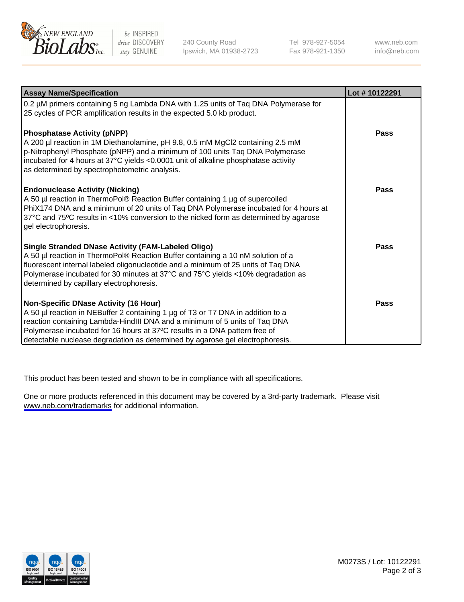

be INSPIRED drive DISCOVERY stay GENUINE

240 County Road Ipswich, MA 01938-2723 Tel 978-927-5054 Fax 978-921-1350

www.neb.com info@neb.com

| <b>Assay Name/Specification</b>                                                                                                                                                                                                                                                                                                                                       | Lot #10122291 |
|-----------------------------------------------------------------------------------------------------------------------------------------------------------------------------------------------------------------------------------------------------------------------------------------------------------------------------------------------------------------------|---------------|
| 0.2 µM primers containing 5 ng Lambda DNA with 1.25 units of Tag DNA Polymerase for<br>25 cycles of PCR amplification results in the expected 5.0 kb product.                                                                                                                                                                                                         |               |
| <b>Phosphatase Activity (pNPP)</b><br>A 200 µl reaction in 1M Diethanolamine, pH 9.8, 0.5 mM MgCl2 containing 2.5 mM<br>p-Nitrophenyl Phosphate (pNPP) and a minimum of 100 units Taq DNA Polymerase<br>incubated for 4 hours at 37°C yields <0.0001 unit of alkaline phosphatase activity<br>as determined by spectrophotometric analysis.                           | Pass          |
| <b>Endonuclease Activity (Nicking)</b><br>A 50 µl reaction in ThermoPol® Reaction Buffer containing 1 µg of supercoiled<br>PhiX174 DNA and a minimum of 20 units of Taq DNA Polymerase incubated for 4 hours at<br>37°C and 75°C results in <10% conversion to the nicked form as determined by agarose<br>gel electrophoresis.                                       | Pass          |
| Single Stranded DNase Activity (FAM-Labeled Oligo)<br>A 50 µl reaction in ThermoPol® Reaction Buffer containing a 10 nM solution of a<br>fluorescent internal labeled oligonucleotide and a minimum of 25 units of Taq DNA<br>Polymerase incubated for 30 minutes at 37°C and 75°C yields <10% degradation as<br>determined by capillary electrophoresis.             | Pass          |
| Non-Specific DNase Activity (16 Hour)<br>A 50 µl reaction in NEBuffer 2 containing 1 µg of T3 or T7 DNA in addition to a<br>reaction containing Lambda-HindIII DNA and a minimum of 5 units of Taq DNA<br>Polymerase incubated for 16 hours at 37°C results in a DNA pattern free of<br>detectable nuclease degradation as determined by agarose gel electrophoresis. | <b>Pass</b>   |

This product has been tested and shown to be in compliance with all specifications.

One or more products referenced in this document may be covered by a 3rd-party trademark. Please visit <www.neb.com/trademarks>for additional information.